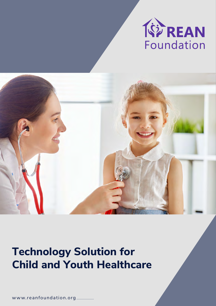



## **Technology Solution for Child and Youth Healthcare**

w ww.reanfoundation.org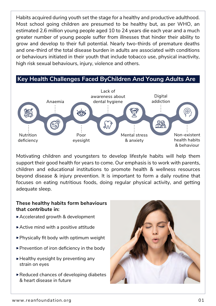Habits acquired during youth set the stage for a healthy and productive adulthood. Most school going children are presumed to be healthy but, as per WHO, an estimated 2.6 million young people aged 10 to 24 years die each year and a much greater number of young people suffer from illnesses that hinder their ability to grow and develop to their full potential. Nearly two-thirds of premature deaths and one-third of the total disease burden in adults are associated with conditions or behaviours initiated in their youth that include tobacco use, physical inactivity, high risk sexual behaviours, injury, violence and others.

**Key Health Challenges Faced ByChildren And Young Adults Are**



Motivating children and youngsters to develop lifestyle habits will help them support their good health for years to come. Our emphasis is to work with parents, children and educational institutions to promote health & wellness resources beyond disease & injury prevention. It is important to form a daily routine that focuses on eating nutritious foods, doing regular physical activity, and getting adequate sleep.

## **These healthy habits form behaviours that contribute in:**

- Accelerated growth & development
- Active mind with a positive attitude
- Physically fit body with optimum weight
- ▶ Prevention of iron deficiency in the body
- $\blacktriangleright$  Healthy eyesight by preventing any strain on eyes
- Reduced chances of developing diabetes & heart disease in future